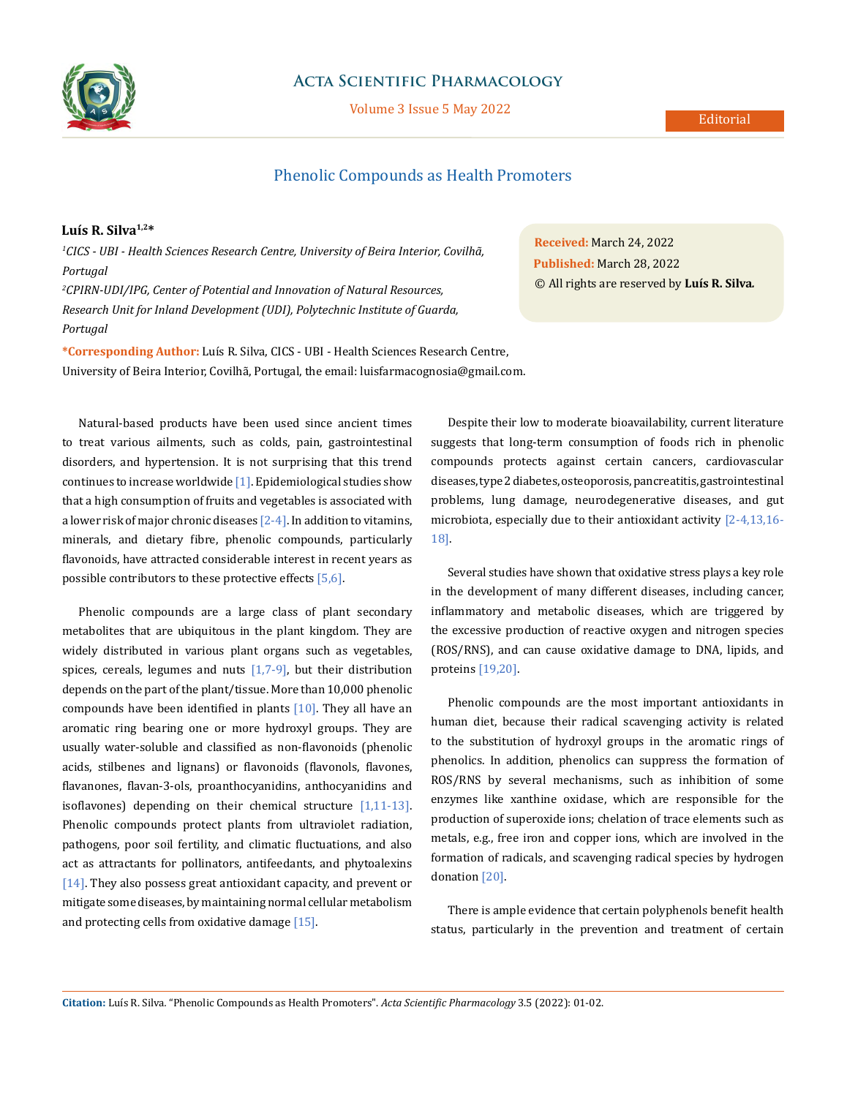

## **Acta Scientific Pharmacology**

Volume 3 Issue 5 May 2022

# Phenolic Compounds as Health Promoters

## **Luís R. Silva1,2\***

*1 CICS - UBI - Health Sciences Research Centre, University of Beira Interior, Covilhã, Portugal 2 CPIRN-UDI/IPG, Center of Potential and Innovation of Natural Resources,* 

*Research Unit for Inland Development (UDI), Polytechnic Institute of Guarda, Portugal*

**\*Corresponding Author:** Luís R. Silva, CICS - UBI - Health Sciences Research Centre, University of Beira Interior, Covilhã, Portugal, the email: luisfarmacognosia@gmail.com.

Natural-based products have been used since ancient times to treat various ailments, such as colds, pain, gastrointestinal disorders, and hypertension. It is not surprising that this trend continues to increase worldwide [1]. Epidemiological studies show that a high consumption of fruits and vegetables is associated with a lower risk of major chronic diseases [2-4]. In addition to vitamins, minerals, and dietary fibre, phenolic compounds, particularly flavonoids, have attracted considerable interest in recent years as possible contributors to these protective effects [5,6].

Phenolic compounds are a large class of plant secondary metabolites that are ubiquitous in the plant kingdom. They are widely distributed in various plant organs such as vegetables, spices, cereals, legumes and nuts  $[1,7-9]$ , but their distribution depends on the part of the plant/tissue. More than 10,000 phenolic compounds have been identified in plants  $[10]$ . They all have an aromatic ring bearing one or more hydroxyl groups. They are usually water-soluble and classified as non-flavonoids (phenolic acids, stilbenes and lignans) or flavonoids (flavonols, flavones, flavanones, flavan-3-ols, proanthocyanidins, anthocyanidins and isoflavones) depending on their chemical structure [1,11-13]. Phenolic compounds protect plants from ultraviolet radiation, pathogens, poor soil fertility, and climatic fluctuations, and also act as attractants for pollinators, antifeedants, and phytoalexins [14]. They also possess great antioxidant capacity, and prevent or mitigate some diseases, by maintaining normal cellular metabolism and protecting cells from oxidative damage [15].

**Received:** March 24, 2022 **Published:** March 28, 2022 © All rights are reserved by **Luís R. Silva***.*

Despite their low to moderate bioavailability, current literature suggests that long-term consumption of foods rich in phenolic compounds protects against certain cancers, cardiovascular diseases, type 2 diabetes, osteoporosis, pancreatitis, gastrointestinal problems, lung damage, neurodegenerative diseases, and gut microbiota, especially due to their antioxidant activity [2-4,13,16- 18].

Several studies have shown that oxidative stress plays a key role in the development of many different diseases, including cancer, inflammatory and metabolic diseases, which are triggered by the excessive production of reactive oxygen and nitrogen species (ROS/RNS), and can cause oxidative damage to DNA, lipids, and proteins [19,20].

Phenolic compounds are the most important antioxidants in human diet, because their radical scavenging activity is related to the substitution of hydroxyl groups in the aromatic rings of phenolics. In addition, phenolics can suppress the formation of ROS/RNS by several mechanisms, such as inhibition of some enzymes like xanthine oxidase, which are responsible for the production of superoxide ions; chelation of trace elements such as metals, e.g., free iron and copper ions, which are involved in the formation of radicals, and scavenging radical species by hydrogen donation [20].

There is ample evidence that certain polyphenols benefit health status, particularly in the prevention and treatment of certain